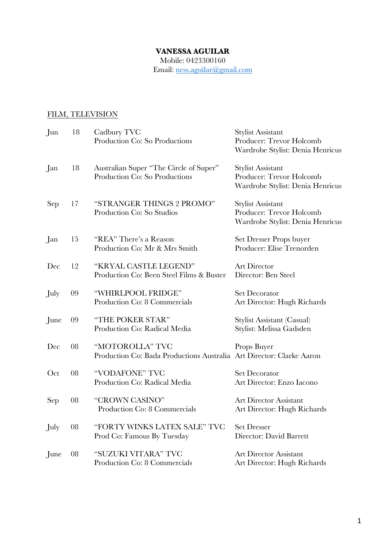## **VANESSA AGUILAR**

Mobile: 0423300160 Email: ness.aguilar@gmail.com

## FILM, TELEVISION

| Jun  | 18         | Cadbury TVC<br>Production Co: So Productions                                            | <b>Stylist Assistant</b><br>Producer: Trevor Holcomb<br>Wardrobe Stylist: Denia Henricus |
|------|------------|-----------------------------------------------------------------------------------------|------------------------------------------------------------------------------------------|
| Jan  | 18         | Australian Super "The Circle of Super"<br>Production Co: So Productions                 | <b>Stylist Assistant</b><br>Producer: Trevor Holcomb<br>Wardrobe Stylist: Denia Henricus |
| Sep  | 17         | "STRANGER THINGS 2 PROMO"<br>Production Co: So Studios                                  | Stylist Assistant<br>Producer: Trevor Holcomb<br>Wardrobe Stylist: Denia Henricus        |
| Jan  | 15         | "REA" There's a Reason<br>Production Co: Mr & Mrs Smith                                 | Set Dresser Props buyer<br>Producer: Elise Trenorden                                     |
| Dec  | 12         | "KRYAL CASTLE LEGEND"<br>Production Co: Been Steel Films & Buster                       | Art Director<br>Director: Ben Steel                                                      |
| July | 09         | "WHIRLPOOL FRIDGE"<br>Production Co: 8 Commercials                                      | <b>Set Decorator</b><br>Art Director: Hugh Richards                                      |
| June | 09         | "THE POKER STAR"<br>Production Co: Radical Media                                        | Stylist Assistant (Casual)<br>Stylist: Melissa Gadsden                                   |
| Dec  | 08         | "MOTOROLLA" TVC<br>Production Co: Bada Productions Australia Art Director: Clarke Aaron | Props Buyer                                                                              |
| Oct  | ${\bf 08}$ | "VODAFONE" TVC<br>Production Co: Radical Media                                          | <b>Set Decorator</b><br>Art Director: Enzo Iacono                                        |
| Sep  | 08         | "CROWN CASINO"<br>Production Co: 8 Commercials                                          | <b>Art Director Assistant</b><br>Art Director: Hugh Richards                             |
| July | 08         | "FORTY WINKS LATEX SALE" TVC<br>Prod Co: Famous By Tuesday                              | <b>Set Dresser</b><br>Director: David Barrett                                            |
| June | 08         | "SUZUKI VITARA" TVC<br>Production Co: 8 Commercials                                     | <b>Art Director Assistant</b><br>Art Director: Hugh Richards                             |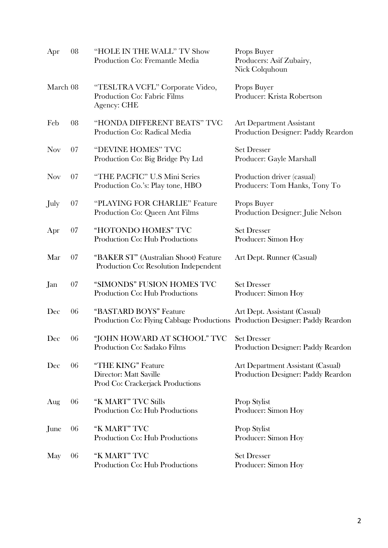| Apr        | 08 | "HOLE IN THE WALL" TV Show<br>Production Co: Fremantle Media                                           | Props Buyer<br>Producers: Asif Zubairy,<br>Nick Colquhoun               |
|------------|----|--------------------------------------------------------------------------------------------------------|-------------------------------------------------------------------------|
| March 08   |    | "TESLTRA VCFL" Corporate Video,<br>Production Co: Fabric Films<br><b>Agency: CHE</b>                   | Props Buyer<br>Producer: Krista Robertson                               |
| Feb        | 08 | "HONDA DIFFERENT BEATS" TVC<br>Production Co: Radical Media                                            | <b>Art Department Assistant</b><br>Production Designer: Paddy Reardon   |
| <b>Nov</b> | 07 | "DEVINE HOMES" TVC<br>Production Co: Big Bridge Pty Ltd                                                | <b>Set Dresser</b><br>Producer: Gayle Marshall                          |
| <b>Nov</b> | 07 | "THE PACFIC" U.S Mini Series<br>Production Co.'s: Play tone, HBO                                       | Production driver (casual)<br>Producers: Tom Hanks, Tony To             |
| July       | 07 | "PLAYING FOR CHARLIE" Feature<br>Production Co: Queen Ant Films                                        | Props Buyer<br>Production Designer: Julie Nelson                        |
| Apr        | 07 | "HOTONDO HOMES" TVC<br>Production Co: Hub Productions                                                  | <b>Set Dresser</b><br>Producer: Simon Hoy                               |
| Mar        | 07 | "BAKER ST" (Australian Shoot) Feature<br>Production Co: Resolution Independent                         | Art Dept. Runner (Casual)                                               |
| Jan        | 07 | "SIMONDS" FUSION HOMES TVC<br>Production Co: Hub Productions                                           | <b>Set Dresser</b><br>Producer: Simon Hoy                               |
| Dec        | 06 | "BASTARD BOYS" Feature<br>Production Co: Flying Cabbage Productions Production Designer: Paddy Reardon | Art Dept. Assistant (Casual)                                            |
| Dec        | 06 | "JOHN HOWARD AT SCHOOL" TVC<br>Production Co: Sadako Films                                             | <b>Set Dresser</b><br>Production Designer: Paddy Reardon                |
| Dec        | 06 | "THE KING" Feature<br>Director: Matt Saville<br>Prod Co: Crackerjack Productions                       | Art Department Assistant (Casual)<br>Production Designer: Paddy Reardon |
| Aug        | 06 | "K MART" TVC Stills<br>Production Co: Hub Productions                                                  | Prop Stylist<br>Producer: Simon Hoy                                     |
| June       | 06 | "K MART" TVC<br>Production Co: Hub Productions                                                         | Prop Stylist<br>Producer: Simon Hoy                                     |
| May        | 06 | "K MART" TVC<br>Production Co: Hub Productions                                                         | <b>Set Dresser</b><br>Producer: Simon Hoy                               |